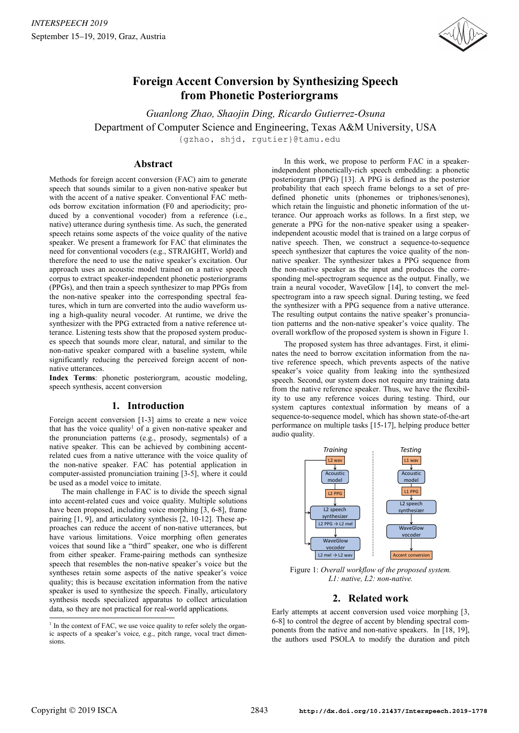

# **Foreign Accent Conversion by Synthesizing Speech from Phonetic Posteriorgrams**

*Guanlong Zhao, Shaojin Ding, Ricardo Gutierrez-Osuna* Department of Computer Science and Engineering, Texas A&M University, USA {gzhao, shjd, rgutier}@tamu.edu

# **Abstract**

Methods for foreign accent conversion (FAC) aim to generate speech that sounds similar to a given non-native speaker but with the accent of a native speaker. Conventional FAC methods borrow excitation information (F0 and aperiodicity; produced by a conventional vocoder) from a reference (i.e., native) utterance during synthesis time. As such, the generated speech retains some aspects of the voice quality of the native speaker. We present a framework for FAC that eliminates the need for conventional vocoders (e.g., STRAIGHT, World) and therefore the need to use the native speaker's excitation. Our approach uses an acoustic model trained on a native speech corpus to extract speaker-independent phonetic posteriorgrams (PPGs), and then train a speech synthesizer to map PPGs from the non-native speaker into the corresponding spectral features, which in turn are converted into the audio waveform using a high-quality neural vocoder. At runtime, we drive the synthesizer with the PPG extracted from a native reference utterance. Listening tests show that the proposed system produces speech that sounds more clear, natural, and similar to the non-native speaker compared with a baseline system, while significantly reducing the perceived foreign accent of nonnative utterances.

**Index Terms**: phonetic posteriorgram, acoustic modeling, speech synthesis, accent conversion

# **1. Introduction**

Foreign accent conversion [1-3] aims to create a new voice that has the voice quality<sup>1</sup> of a given non-native speaker and the pronunciation patterns (e.g., prosody, segmentals) of a native speaker. This can be achieved by combining accentrelated cues from a native utterance with the voice quality of the non-native speaker. FAC has potential application in computer-assisted pronunciation training [3-5], where it could be used as a model voice to imitate.

The main challenge in FAC is to divide the speech signal into accent-related cues and voice quality. Multiple solutions have been proposed, including voice morphing [3, 6-8], frame pairing [1, 9], and articulatory synthesis [2, 10-12]. These approaches can reduce the accent of non-native utterances, but have various limitations. Voice morphing often generates voices that sound like a "third" speaker, one who is different from either speaker. Frame-pairing methods can synthesize speech that resembles the non-native speaker's voice but the syntheses retain some aspects of the native speaker's voice quality; this is because excitation information from the native speaker is used to synthesize the speech. Finally, articulatory synthesis needs specialized apparatus to collect articulation data, so they are not practical for real-world applications.

In this work, we propose to perform FAC in a speakerindependent phonetically-rich speech embedding: a phonetic posteriorgram (PPG) [13]. A PPG is defined as the posterior probability that each speech frame belongs to a set of predefined phonetic units (phonemes or triphones/senones), which retain the linguistic and phonetic information of the utterance. Our approach works as follows. In a first step, we generate a PPG for the non-native speaker using a speakerindependent acoustic model that is trained on a large corpus of native speech. Then, we construct a sequence-to-sequence speech synthesizer that captures the voice quality of the nonnative speaker. The synthesizer takes a PPG sequence from the non-native speaker as the input and produces the corresponding mel-spectrogram sequence as the output. Finally, we train a neural vocoder, WaveGlow [14], to convert the melspectrogram into a raw speech signal. During testing, we feed the synthesizer with a PPG sequence from a native utterance. The resulting output contains the native speaker's pronunciation patterns and the non-native speaker's voice quality. The overall workflow of the proposed system is shown in Figure 1.

The proposed system has three advantages. First, it eliminates the need to borrow excitation information from the native reference speech, which prevents aspects of the native speaker's voice quality from leaking into the synthesized speech. Second, our system does not require any training data from the native reference speaker. Thus, we have the flexibility to use any reference voices during testing. Third, our system captures contextual information by means of a sequence-to-sequence model, which has shown state-of-the-art performance on multiple tasks [15-17], helping produce better audio quality.



Figure 1: *Overall workflow of the proposed system. L1: native, L2: non-native.*

# **2. Related work**

Early attempts at accent conversion used voice morphing [3, 6-8] to control the degree of accent by blending spectral components from the native and non-native speakers. In [18, 19], the authors used PSOLA to modify the duration and pitch

<sup>&</sup>lt;sup>1</sup> In the context of FAC, we use voice quality to refer solely the organic aspects of a speaker's voice, e.g., pitch range, vocal tract dimensions.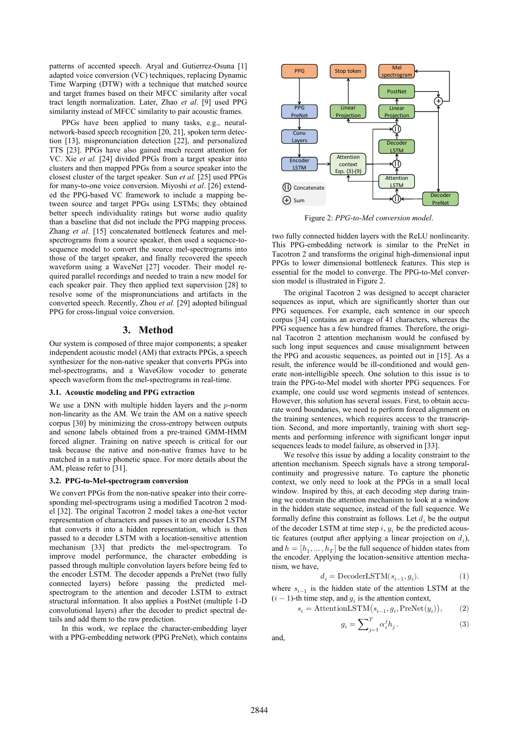patterns of accented speech. Aryal and Gutierrez-Osuna [1] adapted voice conversion (VC) techniques, replacing Dynamic Time Warping (DTW) with a technique that matched source and target frames based on their MFCC similarity after vocal tract length normalization. Later, Zhao *et al*. [9] used PPG similarity instead of MFCC similarity to pair acoustic frames.

PPGs have been applied to many tasks, e.g., neuralnetwork-based speech recognition [20, 21], spoken term detection [13], mispronunciation detection [22], and personalized TTS [23]. PPGs have also gained much recent attention for VC. Xie *et al.* [24] divided PPGs from a target speaker into clusters and then mapped PPGs from a source speaker into the closest cluster of the target speaker. Sun *et al.* [25] used PPGs for many-to-one voice conversion. Miyoshi *et al*. [26] extended the PPG-based VC framework to include a mapping between source and target PPGs using LSTMs; they obtained better speech individuality ratings but worse audio quality than a baseline that did not include the PPG mapping process. Zhang *et al*. [15] concatenated bottleneck features and melspectrograms from a source speaker, then used a sequence-tosequence model to convert the source mel-spectrograms into those of the target speaker, and finally recovered the speech waveform using a WaveNet [27] vocoder. Their model required parallel recordings and needed to train a new model for each speaker pair. They then applied text supervision [28] to resolve some of the mispronunciations and artifacts in the converted speech. Recently, Zhou *et al.* [29] adopted bilingual PPG for cross-lingual voice conversion.

# **3. Method**

Our system is composed of three major components; a speaker independent acoustic model (AM) that extracts PPGs, a speech synthesizer for the non-native speaker that converts PPGs into mel-spectrograms, and a WaveGlow vocoder to generate speech waveform from the mel-spectrograms in real-time.

#### **3.1. Acoustic modeling and PPG extraction**

We use a DNN with multiple hidden layers and the  $p$ -norm non-linearity as the AM. We train the AM on a native speech corpus [30] by minimizing the cross-entropy between outputs and senone labels obtained from a pre-trained GMM-HMM forced aligner. Training on native speech is critical for our task because the native and non-native frames have to be matched in a native phonetic space. For more details about the AM, please refer to [31].

### **3.2. PPG-to-Mel-spectrogram conversion**

We convert PPGs from the non-native speaker into their corresponding mel-spectrograms using a modified Tacotron 2 model [32]. The original Tacotron 2 model takes a one-hot vector representation of characters and passes it to an encoder LSTM that converts it into a hidden representation, which is then passed to a decoder LSTM with a location-sensitive attention mechanism [33] that predicts the mel-spectrogram. To improve model performance, the character embedding is passed through multiple convolution layers before being fed to the encoder LSTM. The decoder appends a PreNet (two fully connected layers) before passing the predicted melspectrogram to the attention and decoder LSTM to extract structural information. It also applies a PostNet (multiple 1-D convolutional layers) after the decoder to predict spectral details and add them to the raw prediction.

In this work, we replace the character-embedding layer with a PPG-embedding network (PPG PreNet), which contains



Figure 2: *PPG-to-Mel conversion model*.

two fully connected hidden layers with the ReLU nonlinearity. This PPG-embedding network is similar to the PreNet in Tacotron 2 and transforms the original high-dimensional input PPGs to lower dimensional bottleneck features. This step is essential for the model to converge. The PPG-to-Mel conversion model is illustrated in Figure 2.

The original Tacotron 2 was designed to accept character sequences as input, which are significantly shorter than our PPG sequences. For example, each sentence in our speech corpus [34] contains an average of 41 characters, whereas the PPG sequence has a few hundred frames. Therefore, the original Tacotron 2 attention mechanism would be confused by such long input sequences and cause misalignment between the PPG and acoustic sequences, as pointed out in [15]. As a result, the inference would be ill-conditioned and would generate non-intelligible speech. One solution to this issue is to train the PPG-to-Mel model with shorter PPG sequences. For example, one could use word segments instead of sentences. However, this solution has several issues. First, to obtain accurate word boundaries, we need to perform forced alignment on the training sentences, which requires access to the transcription. Second, and more importantly, training with short segments and performing inference with significant longer input sequences leads to model failure, as observed in [33].

We resolve this issue by adding a locality constraint to the attention mechanism. Speech signals have a strong temporalcontinuity and progressive nature. To capture the phonetic context, we only need to look at the PPGs in a small local window. Inspired by this, at each decoding step during training we constrain the attention mechanism to look at a window in the hidden state sequence, instead of the full sequence. We formally define this constraint as follows. Let  $d_i$  be the output of the decoder LSTM at time step  $i, y_i$  be the predicted acoustic features (output after applying a linear projection on  $d_i$ ), and  $h = [h_1, \dots, h_T]$  be the full sequence of hidden states from the encoder. Applying the location-sensitive attention mechanism, we have,

$$
d_i = \text{DecoderLSTM}(s_{i-1}, g_i). \eqno{(1)}
$$

where  $s_{i-1}$  is the hidden state of the attention LSTM at the  $(i - 1)$ -th time step, and  $g_i$  is the attention context,

$$
s_i = \text{AttentionLSTM}(s_{i-1}, g_i, \text{PreNet}(y_i)), \tag{2}
$$

$$
g_i = \sum_{j=1}^{T} \alpha_i^j h_j.
$$
 (3)

and,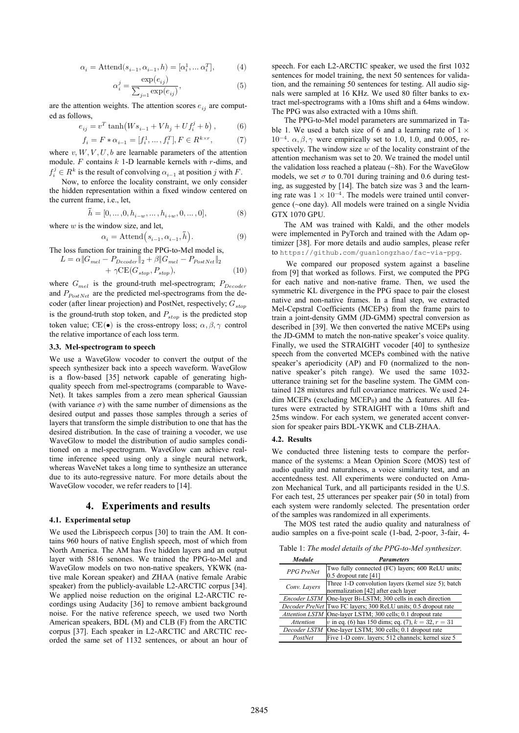$$
\alpha_i = \text{Attend}(s_{i-1}, \alpha_{i-1}, h) = [\alpha_i^1, \dots \alpha_i^T], \tag{4}
$$

$$
\alpha_i^j = \frac{\exp(e_{ij})}{\sum_{j=1}^{\infty} \exp(e_{ij})},
$$
\n(5)

are the attention weights. The attention scores  $e_{ij}$  are computed as follows,

$$
e_{ij}=v^T\tanh\!\left(Ws_{i-1}+Vh_j+Uf_i^j+b\right),\qquad \quad (6)
$$

$$
f_i=F*\alpha_{i-1}=[f_i^1,\ldots,f_i^T], F\in R^{k\times r}, \eqno(7)
$$

where  $v, W, V, U, b$  are learnable parameters of the attention module.  $F$  contains  $k$  1-D learnable kernels with  $r$ -dims, and  $f_i^j \in R^k$  is the result of convolving  $\alpha_{i-1}$  at position j with F.

Now, to enforce the locality constraint, we only consider the hidden representation within a fixed window centered on the current frame, i.e., let,

$$
\tilde{h}=[0,\ldots,0,h_{i-w},\ldots,h_{i+w},0,\ldots,0], \eqno(8)
$$

where 
$$
w
$$
 is the window size, and let,

$$
\alpha_i = \text{Attend}\left(s_{i-1}, \alpha_{i-1}, \tilde{h}\right).
$$
 (9)

The loss function for training the PPG-to-Mel model is,<br>  $L = \alpha ||G_{mcl} - P_r$ ,  $||_{\alpha} + \beta ||C|| - D$ 

$$
L = \alpha ||G_{mel} - P_{Decoder}||_2 + \beta ||G_{mel} - P_{PostNet}||_2
$$
  
+  $\gamma$ CE( $G_{stop}$ ,  $P_{stop}$ ), (10)

where  $G_{mel}$  is the ground-truth mel-spectrogram;  $P_{Decoder}$ and  $P_{PostNet}$  are the predicted mel-spectrograms from the decoder (after linear projection) and PostNet, respectively;  $G_{stop}$ is the ground-truth stop token, and  $P_{stop}$  is the predicted stop token value; CE( $\bullet$ ) is the cross-entropy loss;  $\alpha, \beta, \gamma$  control the relative importance of each loss term.

#### **3.3. Mel-spectrogram to speech**

We use a WaveGlow vocoder to convert the output of the speech synthesizer back into a speech waveform. WaveGlow is a flow-based [35] network capable of generating highquality speech from mel-spectrograms (comparable to Wave-Net). It takes samples from a zero mean spherical Gaussian (with variance  $\sigma$ ) with the same number of dimensions as the desired output and passes those samples through a series of layers that transform the simple distribution to one that has the desired distribution. In the case of training a vocoder, we use WaveGlow to model the distribution of audio samples conditioned on a mel-spectrogram. WaveGlow can achieve realtime inference speed using only a single neural network, whereas WaveNet takes a long time to synthesize an utterance due to its auto-regressive nature. For more details about the WaveGlow vocoder, we refer readers to [14].

# **4. Experiments and results**

#### **4.1. Experimental setup**

We used the Librispeech corpus [30] to train the AM. It contains 960 hours of native English speech, most of which from North America. The AM has five hidden layers and an output layer with 5816 senones. We trained the PPG-to-Mel and WaveGlow models on two non-native speakers, YKWK (native male Korean speaker) and ZHAA (native female Arabic speaker) from the publicly-available L2-ARCTIC corpus [34]. We applied noise reduction on the original L2-ARCTIC recordings using Audacity [36] to remove ambient background noise. For the native reference speech, we used two North American speakers, BDL (M) and CLB (F) from the ARCTIC corpus [37]. Each speaker in L2-ARCTIC and ARCTIC recorded the same set of 1132 sentences, or about an hour of speech. For each L2-ARCTIC speaker, we used the first 1032 sentences for model training, the next 50 sentences for validation, and the remaining 50 sentences for testing. All audio signals were sampled at 16 KHz. We used 80 filter banks to extract mel-spectrograms with a 10ms shift and a 64ms window. The PPG was also extracted with a 10ms shift.

The PPG-to-Mel model parameters are summarized in Table 1. We used a batch size of 6 and a learning rate of  $1 \times$  $10^{-4}$ .  $\alpha$ ,  $\beta$ ,  $\gamma$  were empirically set to 1.0, 1.0, and 0.005, respectively. The window size  $w$  of the locality constraint of the attention mechanism was set to 20. We trained the model until the validation loss reached a plateau (~8h). For the WaveGlow models, we set  $\sigma$  to 0.701 during training and 0.6 during testing, as suggested by [14]. The batch size was 3 and the learning rate was  $1 \times 10^{-4}$ . The models were trained until convergence (~one day). All models were trained on a single Nvidia GTX 1070 GPU.

The AM was trained with Kaldi, and the other models were implemented in PyTorch and trained with the Adam optimizer [38]. For more details and audio samples, please refer to https://github.com/guanlongzhao/fac-via-ppg.

We compared our proposed system against a baseline from [9] that worked as follows. First, we computed the PPG for each native and non-native frame. Then, we used the symmetric KL divergence in the PPG space to pair the closest native and non-native frames. In a final step, we extracted Mel-Cepstral Coefficients (MCEPs) from the frame pairs to train a joint-density GMM (JD-GMM) spectral conversion as described in [39]. We then converted the native MCEPs using the JD-GMM to match the non-native speaker's voice quality. Finally, we used the STRAIGHT vocoder [40] to synthesize speech from the converted MCEPs combined with the native speaker's aperiodicity (AP) and F0 (normalized to the nonnative speaker's pitch range). We used the same 1032 utterance training set for the baseline system. The GMM contained 128 mixtures and full covariance matrices. We used 24 dim MCEPs (excluding MCEP<sub>0</sub>) and the  $\Delta$  features. All features were extracted by STRAIGHT with a 10ms shift and 25ms window. For each system, we generated accent conversion for speaker pairs BDL-YKWK and CLB-ZHAA.

#### **4.2. Results**

We conducted three listening tests to compare the performance of the systems: a Mean Opinion Score (MOS) test of audio quality and naturalness, a voice similarity test, and an accentedness test. All experiments were conducted on Amazon Mechanical Turk, and all participants resided in the U.S. For each test, 25 utterances per speaker pair (50 in total) from each system were randomly selected. The presentation order of the samples was randomized in all experiments.

The MOS test rated the audio quality and naturalness of audio samples on a five-point scale (1-bad, 2-poor, 3-fair, 4-

Table 1: *The model details of the PPG-to-Mel synthesizer.*

| <b>Module</b>    | <b>Parameters</b>                                              |
|------------------|----------------------------------------------------------------|
| PPG PreNet       | Two fully connected (FC) layers; 600 ReLU units;               |
|                  | $0.5$ dropout rate [41]                                        |
| Conv. Layers     | Three 1-D convolution layers (kernel size 5); batch            |
|                  | normalization [42] after each layer                            |
| Encoder LSTM     | One-layer Bi-LSTM; 300 cells in each direction                 |
|                  | Decoder PreNet Two FC layers; 300 ReLU units; 0.5 dropout rate |
|                  | Attention LSTM One-layer LSTM; 300 cells; 0.1 dropout rate     |
| <b>Attention</b> | v in eq. (6) has 150 dims; eq. (7), $k = 32$ , $r = 31$        |
|                  | Decoder LSTM One-layer LSTM: 300 cells; 0.1 dropout rate       |
| PostNet          | Five 1-D conv. layers; 512 channels; kernel size 5             |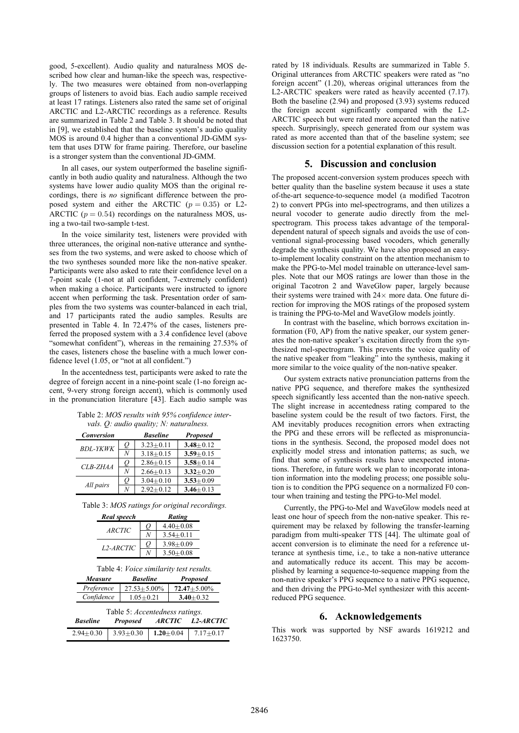good, 5-excellent). Audio quality and naturalness MOS described how clear and human-like the speech was, respectively. The two measures were obtained from non-overlapping groups of listeners to avoid bias. Each audio sample received at least 17 ratings. Listeners also rated the same set of original ARCTIC and L2-ARCTIC recordings as a reference. Results are summarized in Table 2 and Table 3. It should be noted that in [9], we established that the baseline system's audio quality MOS is around 0.4 higher than a conventional JD-GMM system that uses DTW for frame pairing. Therefore, our baseline is a stronger system than the conventional JD-GMM.

In all cases, our system outperformed the baseline significantly in both audio quality and naturalness. Although the two systems have lower audio quality MOS than the original recordings, there is *no* significant difference between the proposed system and either the ARCTIC  $(p = 0.35)$  or L2-ARCTIC ( $p = 0.54$ ) recordings on the naturalness MOS, using a two-tail two-sample t-test.

In the voice similarity test, listeners were provided with three utterances, the original non-native utterance and syntheses from the two systems, and were asked to choose which of the two syntheses sounded more like the non-native speaker. Participants were also asked to rate their confidence level on a 7-point scale (1-not at all confident, 7-extremely confident) when making a choice. Participants were instructed to ignore accent when performing the task. Presentation order of samples from the two systems was counter-balanced in each trial, and 17 participants rated the audio samples. Results are presented in Table 4. In 72.47% of the cases, listeners preferred the proposed system with a 3.4 confidence level (above "somewhat confident"), whereas in the remaining 27.53% of the cases, listeners chose the baseline with a much lower confidence level (1.05, or "not at all confident.")

In the accentedness test, participants were asked to rate the degree of foreign accent in a nine-point scale (1-no foreign accent, 9-very strong foreign accent), which is commonly used in the pronunciation literature [43]. Each audio sample was

| Table 2: MOS results with 95% confidence inter- |  |  |
|-------------------------------------------------|--|--|
| vals. $Q$ : audio quality; N: naturalness.      |  |  |

| <b>Conversion</b> |    | <b>Baseline</b> | <b>Proposed</b> |
|-------------------|----|-----------------|-----------------|
| <b>BDL-YKWK</b>   | O  | $3.23 + 0.11$   | $3.48 + 0.12$   |
|                   | N  | $3.18 + 0.15$   | $3.59 + 0.15$   |
| $CLB-ZHAA$        | U  | $2.86 + 0.15$   | $3.58 + 0.14$   |
|                   | N  | $2.66 + 0.13$   | $3.32 + 0.20$   |
| All pairs         | () | $3.04 + 0.10$   | $3.53 + 0.09$   |
|                   | N  | $2.92+0.12$     | $3.46 + 0.13$   |

Table 3: *MOS ratings for original recordings.*

| Real speech            |  | Rating        |  |
|------------------------|--|---------------|--|
| <i>ARCTIC</i>          |  | $4.40 + 0.08$ |  |
|                        |  | $3.54 + 0.11$ |  |
| L <sub>2</sub> -ARCTIC |  | $3.98 + 0.09$ |  |
|                        |  | $3.50 + 0.08$ |  |

|  |  | Table 4: Voice similarity test results. |  |  |
|--|--|-----------------------------------------|--|--|
|--|--|-----------------------------------------|--|--|

| <i>Measure</i> | <b>Baseline</b>  | <b>Proposed</b>  |
|----------------|------------------|------------------|
| Preference     | $27.53 + 5.00\%$ | $72.47 + 5.00\%$ |
| Confidence     | $1.05 + 0.21$    | $3.40 + 0.32$    |

| Table 5: <i>Accentedness ratings</i> . |                                                                 |  |                                           |  |
|----------------------------------------|-----------------------------------------------------------------|--|-------------------------------------------|--|
|                                        |                                                                 |  | <b>Baseline Proposed ARCTIC L2-ARCTIC</b> |  |
|                                        | $2.94 \pm 0.30$ 3.93 $\pm$ 0.30 1.20 $\pm$ 0.04 7.17 $\pm$ 0.17 |  |                                           |  |

rated by 18 individuals. Results are summarized in Table 5. Original utterances from ARCTIC speakers were rated as "no foreign accent" (1.20), whereas original utterances from the L2-ARCTIC speakers were rated as heavily accented (7.17). Both the baseline (2.94) and proposed (3.93) systems reduced the foreign accent significantly compared with the L2- ARCTIC speech but were rated more accented than the native speech. Surprisingly, speech generated from our system was rated as more accented than that of the baseline system; see discussion section for a potential explanation of this result.

## **5. Discussion and conclusion**

The proposed accent-conversion system produces speech with better quality than the baseline system because it uses a state of-the-art sequence-to-sequence model (a modified Tacotron 2) to convert PPGs into mel-spectrograms, and then utilizes a neural vocoder to generate audio directly from the melspectrogram. This process takes advantage of the temporaldependent natural of speech signals and avoids the use of conventional signal-processing based vocoders, which generally degrade the synthesis quality. We have also proposed an easyto-implement locality constraint on the attention mechanism to make the PPG-to-Mel model trainable on utterance-level samples. Note that our MOS ratings are lower than those in the original Tacotron 2 and WaveGlow paper, largely because their systems were trained with  $24\times$  more data. One future direction for improving the MOS ratings of the proposed system is training the PPG-to-Mel and WaveGlow models jointly.

In contrast with the baseline, which borrows excitation information (F0, AP) from the native speaker, our system generates the non-native speaker's excitation directly from the synthesized mel-spectrogram. This prevents the voice quality of the native speaker from "leaking" into the synthesis, making it more similar to the voice quality of the non-native speaker.

Our system extracts native pronunciation patterns from the native PPG sequence, and therefore makes the synthesized speech significantly less accented than the non-native speech. The slight increase in accentedness rating compared to the baseline system could be the result of two factors. First, the AM inevitably produces recognition errors when extracting the PPG and these errors will be reflected as mispronunciations in the synthesis. Second, the proposed model does not explicitly model stress and intonation patterns; as such, we find that some of synthesis results have unexpected intonations. Therefore, in future work we plan to incorporate intonation information into the modeling process; one possible solution is to condition the PPG sequence on a normalized F0 contour when training and testing the PPG-to-Mel model.

Currently, the PPG-to-Mel and WaveGlow models need at least one hour of speech from the non-native speaker. This requirement may be relaxed by following the transfer-learning paradigm from multi-speaker TTS [44]. The ultimate goal of accent conversion is to eliminate the need for a reference utterance at synthesis time, i.e., to take a non-native utterance and automatically reduce its accent. This may be accomplished by learning a sequence-to-sequence mapping from the non-native speaker's PPG sequence to a native PPG sequence, and then driving the PPG-to-Mel synthesizer with this accentreduced PPG sequence.

## **6. Acknowledgements**

This work was supported by NSF awards 1619212 and 1623750.